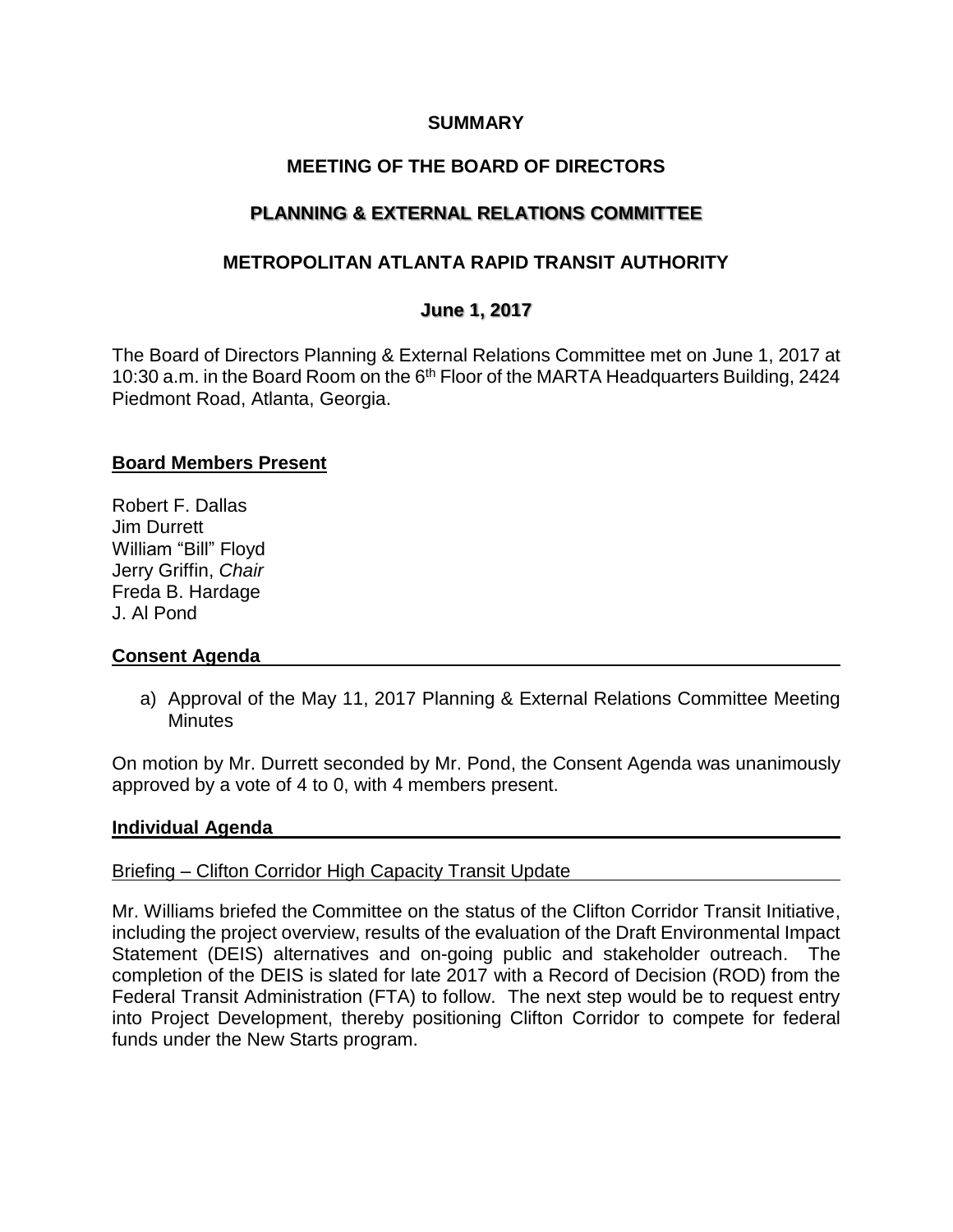### **SUMMARY**

# **MEETING OF THE BOARD OF DIRECTORS**

# **PLANNING & EXTERNAL RELATIONS COMMITTEE**

# **METROPOLITAN ATLANTA RAPID TRANSIT AUTHORITY**

## **June 1, 2017**

The Board of Directors Planning & External Relations Committee met on June 1, 2017 at 10:30 a.m. in the Board Room on the 6<sup>th</sup> Floor of the MARTA Headquarters Building, 2424 Piedmont Road, Atlanta, Georgia.

## **Board Members Present**

Robert F. Dallas Jim Durrett William "Bill" Floyd Jerry Griffin, *Chair* Freda B. Hardage J. Al Pond

### **Consent Agenda**

a) Approval of the May 11, 2017 Planning & External Relations Committee Meeting **Minutes** 

On motion by Mr. Durrett seconded by Mr. Pond, the Consent Agenda was unanimously approved by a vote of 4 to 0, with 4 members present.

### **Individual Agenda**

### Briefing – Clifton Corridor High Capacity Transit Update

Mr. Williams briefed the Committee on the status of the Clifton Corridor Transit Initiative, including the project overview, results of the evaluation of the Draft Environmental Impact Statement (DEIS) alternatives and on-going public and stakeholder outreach. The completion of the DEIS is slated for late 2017 with a Record of Decision (ROD) from the Federal Transit Administration (FTA) to follow. The next step would be to request entry into Project Development, thereby positioning Clifton Corridor to compete for federal funds under the New Starts program.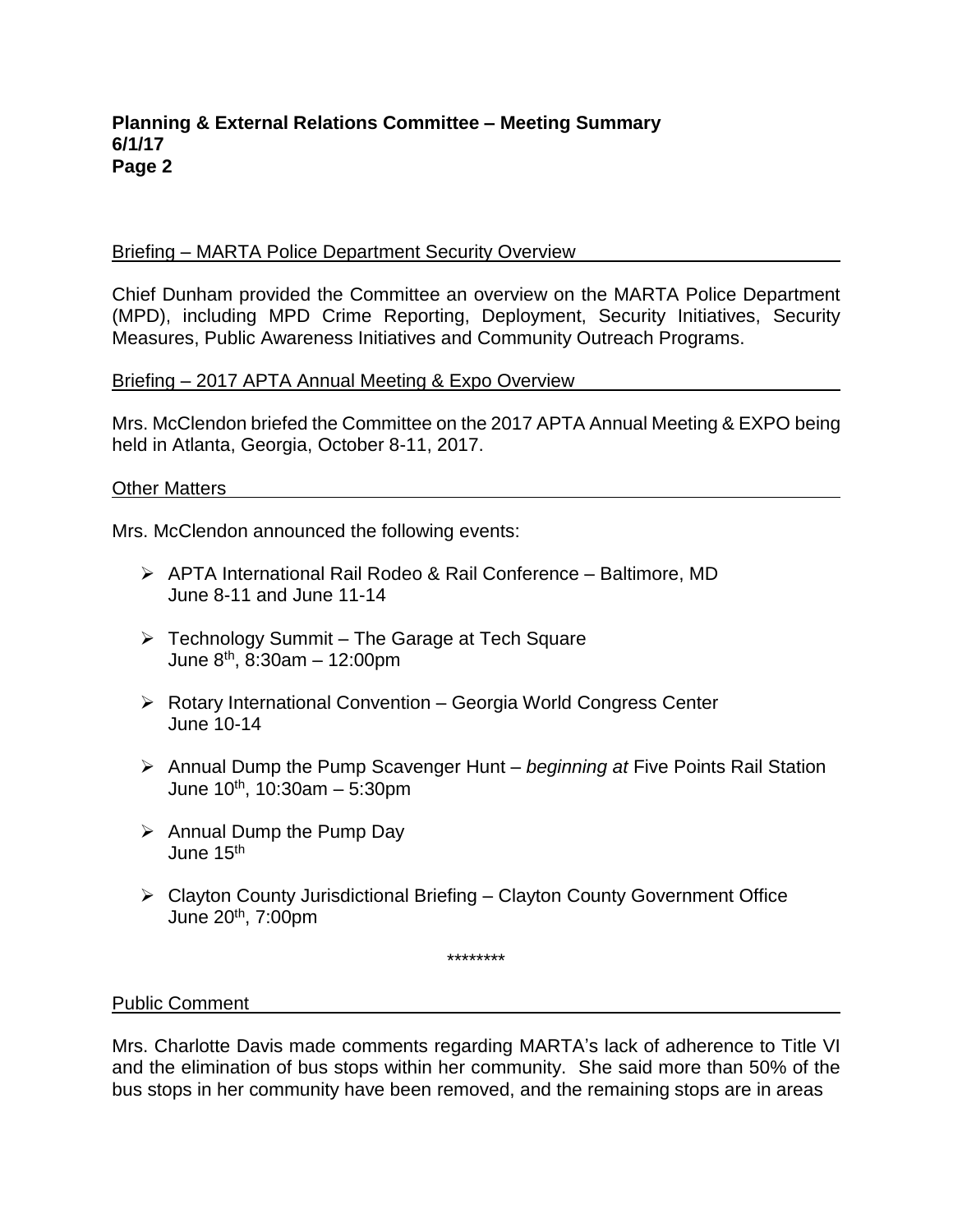#### **Planning & External Relations Committee – Meeting Summary 6/1/17 Page 2**

#### Briefing – MARTA Police Department Security Overview

Chief Dunham provided the Committee an overview on the MARTA Police Department (MPD), including MPD Crime Reporting, Deployment, Security Initiatives, Security Measures, Public Awareness Initiatives and Community Outreach Programs.

#### Briefing – 2017 APTA Annual Meeting & Expo Overview

Mrs. McClendon briefed the Committee on the 2017 APTA Annual Meeting & EXPO being held in Atlanta, Georgia, October 8-11, 2017.

#### Other Matters

Mrs. McClendon announced the following events:

- ➢ APTA International Rail Rodeo & Rail Conference Baltimore, MD June 8-11 and June 11-14
- ➢ Technology Summit The Garage at Tech Square June 8th , 8:30am – 12:00pm
- ➢ Rotary International Convention Georgia World Congress Center June 10-14
- ➢ Annual Dump the Pump Scavenger Hunt *beginning at* Five Points Rail Station June 10th , 10:30am – 5:30pm
- ➢ Annual Dump the Pump Day June 15th
- ➢ Clayton County Jurisdictional Briefing Clayton County Government Office June 20th, 7:00pm

\*\*\*\*\*\*\*\*

Public Comment

Mrs. Charlotte Davis made comments regarding MARTA's lack of adherence to Title VI and the elimination of bus stops within her community. She said more than 50% of the bus stops in her community have been removed, and the remaining stops are in areas